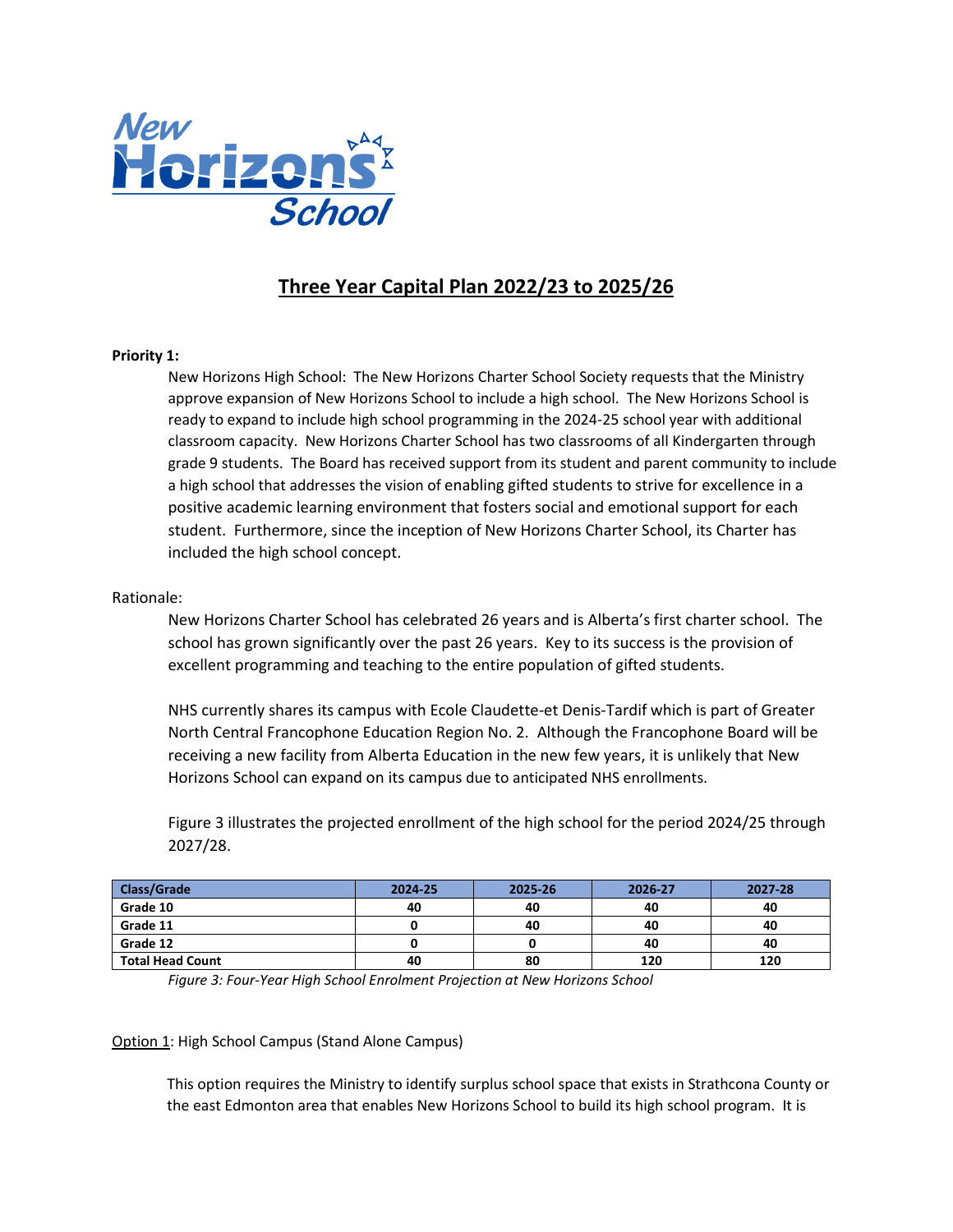

# **Three Year Capital Plan 2022/23 to 2025/26**

# **Priority 1:**

New Horizons High School: The New Horizons Charter School Society requests that the Ministry approve expansion of New Horizons School to include a high school. The New Horizons School is ready to expand to include high school programming in the 2024-25 school year with additional classroom capacity. New Horizons Charter School has two classrooms of all Kindergarten through grade 9 students. The Board has received support from its student and parent community to include a high school that addresses the vision of enabling gifted students to strive for excellence in a positive academic learning environment that fosters social and emotional support for each student. Furthermore, since the inception of New Horizons Charter School, its Charter has included the high school concept.

# Rationale:

New Horizons Charter School has celebrated 26 years and is Alberta's first charter school. The school has grown significantly over the past 26 years. Key to its success is the provision of excellent programming and teaching to the entire population of gifted students.

NHS currently shares its campus with Ecole Claudette-et Denis-Tardif which is part of Greater North Central Francophone Education Region No. 2. Although the Francophone Board will be receiving a new facility from Alberta Education in the new few years, it is unlikely that New Horizons School can expand on its campus due to anticipated NHS enrollments.

Figure 3 illustrates the projected enrollment of the high school for the period 2024/25 through 2027/28.

| <b>Class/Grade</b>      | 2024-25 | 2025-26 | 2026-27 | 2027-28 |
|-------------------------|---------|---------|---------|---------|
| Grade 10                | 40      | 40      | 40      | 40      |
| Grade 11                |         | 40      | 40      | 40      |
| Grade 12                |         |         | 40      | 40      |
| <b>Total Head Count</b> | 40      | 80      | 120     | 120     |

*Figure 3: Four-Year High School Enrolment Projection at New Horizons School*

## Option 1: High School Campus (Stand Alone Campus)

This option requires the Ministry to identify surplus school space that exists in Strathcona County or the east Edmonton area that enables New Horizons School to build its high school program. It is